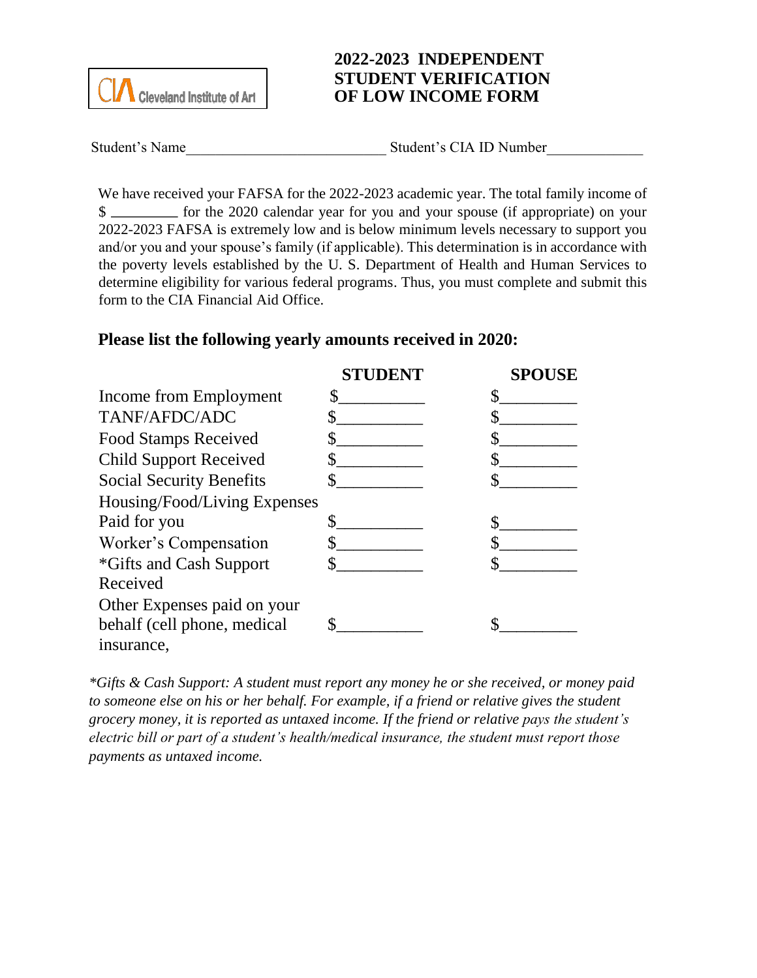

## **2022-2023 INDEPENDENT STUDENT VERIFICATION OF LOW INCOME FORM**

Student's Name The Student's CIA ID Number

We have received your FAFSA for the 2022-2023 academic year. The total family income of \$ 2022-2023 FAFSA is extremely low and is below minimum levels necessary to support you and/or you and your spouse's family (if applicable). This determination is in accordance with the poverty levels established by the U. S. Department of Health and Human Services to determine eligibility for various federal programs. Thus, you must complete and submit this form to the CIA Financial Aid Office.

## **Please list the following yearly amounts received in 2020:**

|                                 | <b>STUDENT</b> | <b>SPOUSE</b> |
|---------------------------------|----------------|---------------|
| Income from Employment          |                |               |
| TANF/AFDC/ADC                   |                |               |
| <b>Food Stamps Received</b>     |                |               |
| <b>Child Support Received</b>   |                |               |
| <b>Social Security Benefits</b> |                |               |
| Housing/Food/Living Expenses    |                |               |
| Paid for you                    |                |               |
| Worker's Compensation           |                |               |
| <i>*Gifts and Cash Support</i>  |                |               |
| Received                        |                |               |
| Other Expenses paid on your     |                |               |
| behalf (cell phone, medical     |                |               |
| insurance,                      |                |               |

*\*Gifts & Cash Support: A student must report any money he or she received, or money paid to someone else on his or her behalf. For example, if a friend or relative gives the student grocery money, it is reported as untaxed income. If the friend or relative pays the student's electric bill or part of a student's health/medical insurance, the student must report those payments as untaxed income.*